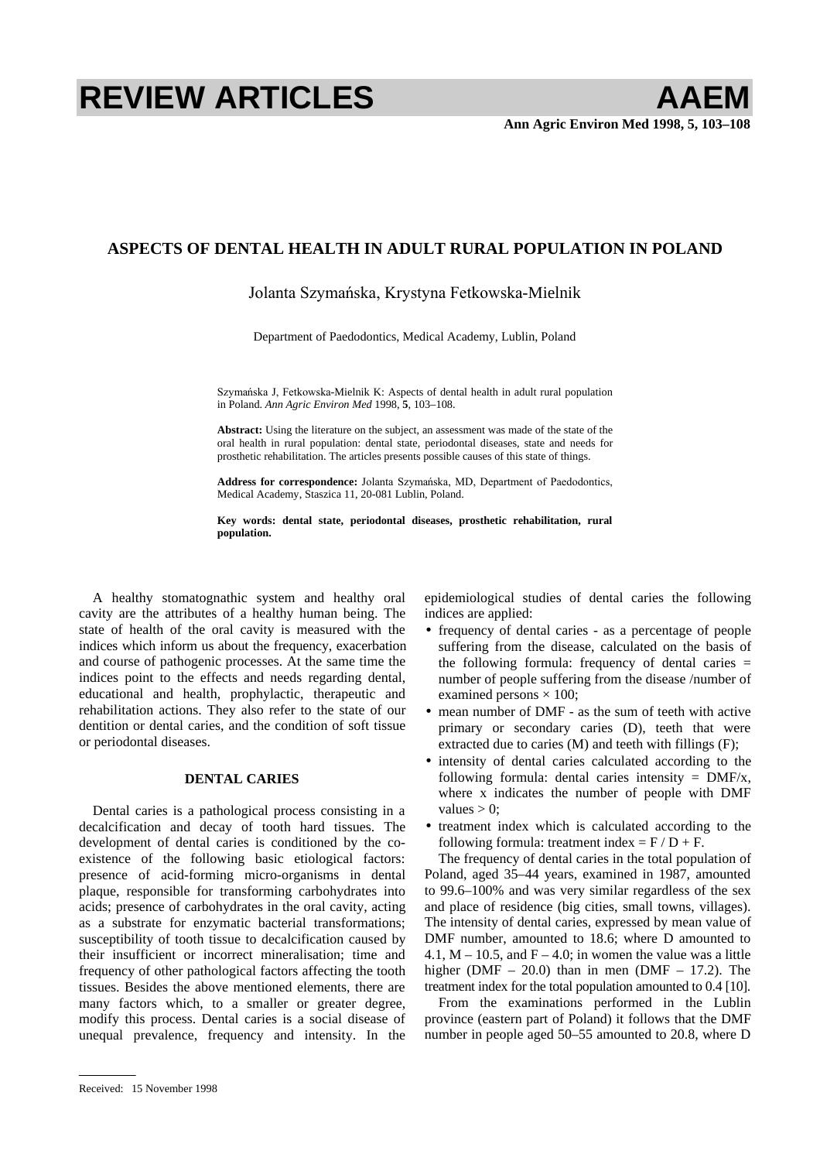# **REVIEW ARTICLES AAEM**

## **ASPECTS OF DENTAL HEALTH IN ADULT RURAL POPULATION IN POLAND**

### Jolanta Szymańska, Krystyna Fetkowska-Mielnik

Department of Paedodontics, Medical Academy, Lublin, Poland

Szymańska J, Fetkowska-Mielnik K: Aspects of dental health in adult rural population in Poland. *Ann Agric Environ Med* 1998, **5**, 103–108.

**Abstract:** Using the literature on the subject, an assessment was made of the state of the oral health in rural population: dental state, periodontal diseases, state and needs for prosthetic rehabilitation. The articles presents possible causes of this state of things.

Address for correspondence: Jolanta Szymańska, MD, Department of Paedodontics, Medical Academy, Staszica 11, 20-081 Lublin, Poland.

**Key words: dental state, periodontal diseases, prosthetic rehabilitation, rural population.** 

A healthy stomatognathic system and healthy oral cavity are the attributes of a healthy human being. The state of health of the oral cavity is measured with the indices which inform us about the frequency, exacerbation and course of pathogenic processes. At the same time the indices point to the effects and needs regarding dental, educational and health, prophylactic, therapeutic and rehabilitation actions. They also refer to the state of our dentition or dental caries, and the condition of soft tissue or periodontal diseases.

#### **DENTAL CARIES**

Dental caries is a pathological process consisting in a decalcification and decay of tooth hard tissues. The development of dental caries is conditioned by the coexistence of the following basic etiological factors: presence of acid-forming micro-organisms in dental plaque, responsible for transforming carbohydrates into acids; presence of carbohydrates in the oral cavity, acting as a substrate for enzymatic bacterial transformations; susceptibility of tooth tissue to decalcification caused by their insufficient or incorrect mineralisation; time and frequency of other pathological factors affecting the tooth tissues. Besides the above mentioned elements, there are many factors which, to a smaller or greater degree, modify this process. Dental caries is a social disease of unequal prevalence, frequency and intensity. In the

Received: 15 November 1998

epidemiological studies of dental caries the following indices are applied:

- frequency of dental caries as a percentage of people suffering from the disease, calculated on the basis of the following formula: frequency of dental caries = number of people suffering from the disease /number of examined persons  $\times$  100;
- mean number of DMF as the sum of teeth with active primary or secondary caries (D), teeth that were extracted due to caries (M) and teeth with fillings (F);
- intensity of dental caries calculated according to the following formula: dental caries intensity =  $DMF/x$ , where x indicates the number of people with DMF values  $> 0$ :
- treatment index which is calculated according to the following formula: treatment index  $=$  F / D + F.

The frequency of dental caries in the total population of Poland, aged 35–44 years, examined in 1987, amounted to 99.6–100% and was very similar regardless of the sex and place of residence (big cities, small towns, villages). The intensity of dental caries, expressed by mean value of DMF number, amounted to 18.6; where D amounted to 4.1,  $M - 10.5$ , and  $F - 4.0$ ; in women the value was a little higher (DMF – 20.0) than in men (DMF – 17.2). The treatment index for the total population amounted to 0.4 [10].

From the examinations performed in the Lublin province (eastern part of Poland) it follows that the DMF number in people aged 50–55 amounted to 20.8, where D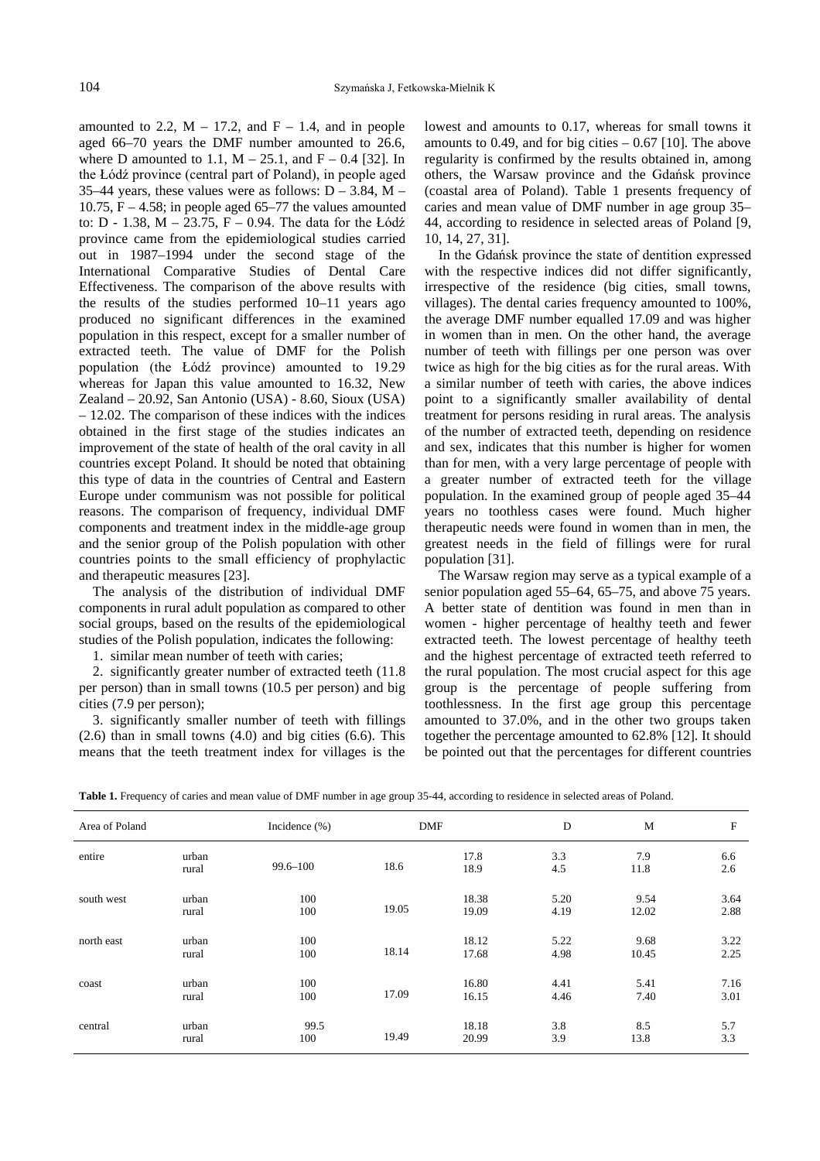amounted to 2.2,  $M - 17.2$ , and  $F - 1.4$ , and in people aged 66–70 years the DMF number amounted to 26.6, where D amounted to 1.1,  $M - 25.1$ , and  $F - 0.4$  [32]. In the Łódź province (central part of Poland), in people aged 35–44 years, these values were as follows:  $D - 3.84$ , M – 10.75,  $F - 4.58$ ; in people aged 65–77 the values amounted to:  $D - 1.38$ ,  $M - 23.75$ ,  $F - 0.94$ . The data for the Łódź province came from the epidemiological studies carried out in 1987–1994 under the second stage of the International Comparative Studies of Dental Care Effectiveness. The comparison of the above results with the results of the studies performed 10–11 years ago produced no significant differences in the examined population in this respect, except for a smaller number of extracted teeth. The value of DMF for the Polish population (the Łódź province) amounted to 19.29 whereas for Japan this value amounted to 16.32, New Zealand – 20.92, San Antonio (USA) - 8.60, Sioux (USA) – 12.02. The comparison of these indices with the indices obtained in the first stage of the studies indicates an improvement of the state of health of the oral cavity in all countries except Poland. It should be noted that obtaining this type of data in the countries of Central and Eastern Europe under communism was not possible for political reasons. The comparison of frequency, individual DMF components and treatment index in the middle-age group and the senior group of the Polish population with other countries points to the small efficiency of prophylactic and therapeutic measures [23].

The analysis of the distribution of individual DMF components in rural adult population as compared to other social groups, based on the results of the epidemiological studies of the Polish population, indicates the following:

1. similar mean number of teeth with caries;

2. significantly greater number of extracted teeth (11.8 per person) than in small towns (10.5 per person) and big cities (7.9 per person);

3. significantly smaller number of teeth with fillings  $(2.6)$  than in small towns  $(4.0)$  and big cities  $(6.6)$ . This means that the teeth treatment index for villages is the lowest and amounts to 0.17, whereas for small towns it amounts to  $0.49$ , and for big cities  $-0.67$  [10]. The above regularity is confirmed by the results obtained in, among others, the Warsaw province and the Gdańsk province (coastal area of Poland). Table 1 presents frequency of caries and mean value of DMF number in age group 35– 44, according to residence in selected areas of Poland [9, 10, 14, 27, 31].

In the Gdańsk province the state of dentition expressed with the respective indices did not differ significantly, irrespective of the residence (big cities, small towns, villages). The dental caries frequency amounted to 100%, the average DMF number equalled 17.09 and was higher in women than in men. On the other hand, the average number of teeth with fillings per one person was over twice as high for the big cities as for the rural areas. With a similar number of teeth with caries, the above indices point to a significantly smaller availability of dental treatment for persons residing in rural areas. The analysis of the number of extracted teeth, depending on residence and sex, indicates that this number is higher for women than for men, with a very large percentage of people with a greater number of extracted teeth for the village population. In the examined group of people aged 35–44 years no toothless cases were found. Much higher therapeutic needs were found in women than in men, the greatest needs in the field of fillings were for rural population [31].

The Warsaw region may serve as a typical example of a senior population aged 55–64, 65–75, and above 75 years. A better state of dentition was found in men than in women - higher percentage of healthy teeth and fewer extracted teeth. The lowest percentage of healthy teeth and the highest percentage of extracted teeth referred to the rural population. The most crucial aspect for this age group is the percentage of people suffering from toothlessness. In the first age group this percentage amounted to 37.0%, and in the other two groups taken together the percentage amounted to 62.8% [12]. It should be pointed out that the percentages for different countries

|  |  |  |  | Table 1. Frequency of caries and mean value of DMF number in age group 35-44, according to residence in selected areas of Poland. |  |
|--|--|--|--|-----------------------------------------------------------------------------------------------------------------------------------|--|
|  |  |  |  |                                                                                                                                   |  |

| Area of Poland |                | Incidence $(\% )$ | <b>DMF</b> |                | $\mathbf D$  | M             | F            |
|----------------|----------------|-------------------|------------|----------------|--------------|---------------|--------------|
| entire         | urban<br>rural | $99.6 - 100$      | 18.6       | 17.8<br>18.9   | 3.3<br>4.5   | 7.9<br>11.8   | 6.6<br>2.6   |
| south west     | urban<br>rural | 100<br>100        | 19.05      | 18.38<br>19.09 | 5.20<br>4.19 | 9.54<br>12.02 | 3.64<br>2.88 |
| north east     | urban<br>rural | 100<br>100        | 18.14      | 18.12<br>17.68 | 5.22<br>4.98 | 9.68<br>10.45 | 3.22<br>2.25 |
| coast          | urban<br>rural | 100<br>100        | 17.09      | 16.80<br>16.15 | 4.41<br>4.46 | 5.41<br>7.40  | 7.16<br>3.01 |
| central        | urban<br>rural | 99.5<br>100       | 19.49      | 18.18<br>20.99 | 3.8<br>3.9   | 8.5<br>13.8   | 5.7<br>3.3   |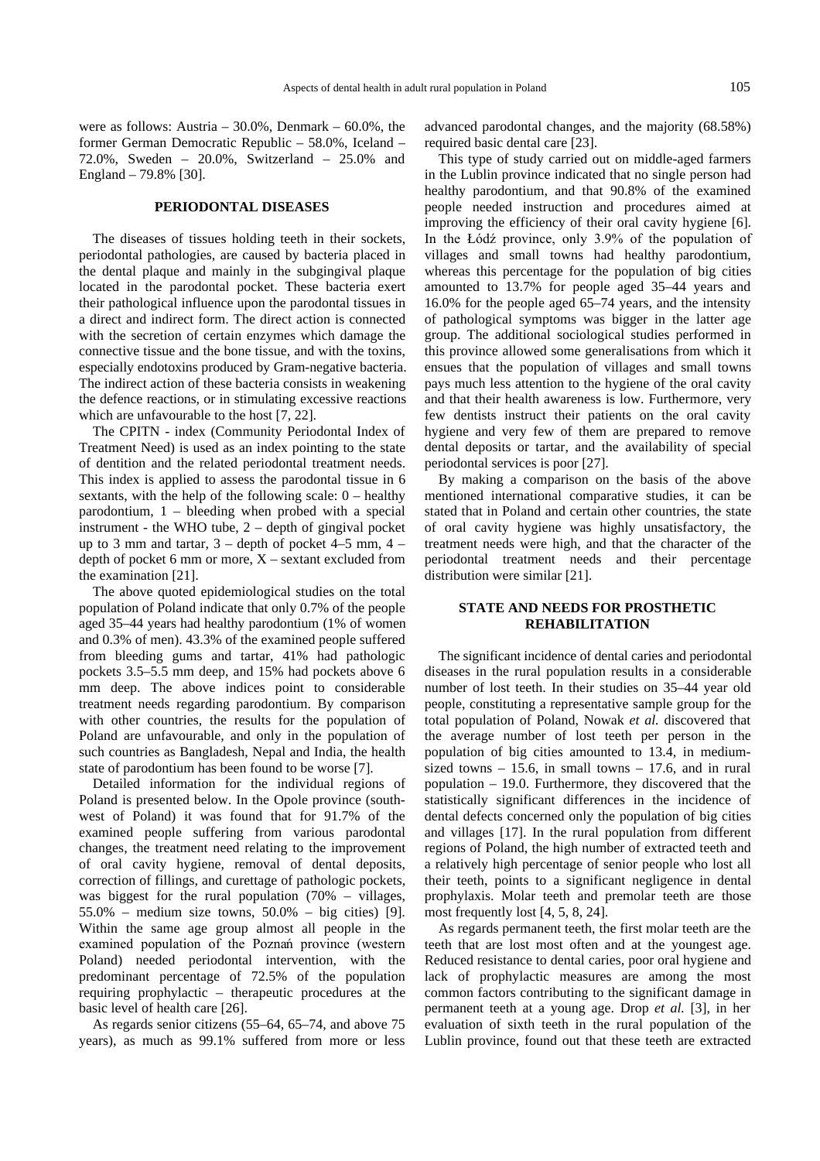were as follows: Austria –  $30.0\%$ , Denmark –  $60.0\%$ , the former German Democratic Republic – 58.0%, Iceland – 72.0%, Sweden – 20.0%, Switzerland – 25.0% and England – 79.8% [30].

#### **PERIODONTAL DISEASES**

The diseases of tissues holding teeth in their sockets, periodontal pathologies, are caused by bacteria placed in the dental plaque and mainly in the subgingival plaque located in the parodontal pocket. These bacteria exert their pathological influence upon the parodontal tissues in a direct and indirect form. The direct action is connected with the secretion of certain enzymes which damage the connective tissue and the bone tissue, and with the toxins, especially endotoxins produced by Gram-negative bacteria. The indirect action of these bacteria consists in weakening the defence reactions, or in stimulating excessive reactions which are unfavourable to the host [7, 22].

The CPITN - index (Community Periodontal Index of Treatment Need) is used as an index pointing to the state of dentition and the related periodontal treatment needs. This index is applied to assess the parodontal tissue in 6 sextants, with the help of the following scale:  $0$  – healthy parodontium, 1 – bleeding when probed with a special instrument - the WHO tube, 2 – depth of gingival pocket up to 3 mm and tartar,  $3 -$  depth of pocket 4–5 mm,  $4$ depth of pocket 6 mm or more,  $X$  – sextant excluded from the examination [21].

The above quoted epidemiological studies on the total population of Poland indicate that only 0.7% of the people aged 35–44 years had healthy parodontium (1% of women and 0.3% of men). 43.3% of the examined people suffered from bleeding gums and tartar, 41% had pathologic pockets 3.5–5.5 mm deep, and 15% had pockets above 6 mm deep. The above indices point to considerable treatment needs regarding parodontium. By comparison with other countries, the results for the population of Poland are unfavourable, and only in the population of such countries as Bangladesh, Nepal and India, the health state of parodontium has been found to be worse [7].

Detailed information for the individual regions of Poland is presented below. In the Opole province (southwest of Poland) it was found that for 91.7% of the examined people suffering from various parodontal changes, the treatment need relating to the improvement of oral cavity hygiene, removal of dental deposits, correction of fillings, and curettage of pathologic pockets, was biggest for the rural population (70% – villages, 55.0% – medium size towns, 50.0% – big cities) [9]. Within the same age group almost all people in the examined population of the Poznań province (western Poland) needed periodontal intervention, with the predominant percentage of 72.5% of the population requiring prophylactic – therapeutic procedures at the basic level of health care [26].

As regards senior citizens (55–64, 65–74, and above 75 years), as much as 99.1% suffered from more or less advanced parodontal changes, and the majority (68.58%) required basic dental care [23].

This type of study carried out on middle-aged farmers in the Lublin province indicated that no single person had healthy parodontium, and that 90.8% of the examined people needed instruction and procedures aimed at improving the efficiency of their oral cavity hygiene [6]. In the Łódź province, only  $3.9\%$  of the population of villages and small towns had healthy parodontium, whereas this percentage for the population of big cities amounted to 13.7% for people aged 35–44 years and 16.0% for the people aged 65–74 years, and the intensity of pathological symptoms was bigger in the latter age group. The additional sociological studies performed in this province allowed some generalisations from which it ensues that the population of villages and small towns pays much less attention to the hygiene of the oral cavity and that their health awareness is low. Furthermore, very few dentists instruct their patients on the oral cavity hygiene and very few of them are prepared to remove dental deposits or tartar, and the availability of special periodontal services is poor [27].

By making a comparison on the basis of the above mentioned international comparative studies, it can be stated that in Poland and certain other countries, the state of oral cavity hygiene was highly unsatisfactory, the treatment needs were high, and that the character of the periodontal treatment needs and their percentage distribution were similar [21].

#### **STATE AND NEEDS FOR PROSTHETIC REHABILITATION**

The significant incidence of dental caries and periodontal diseases in the rural population results in a considerable number of lost teeth. In their studies on 35–44 year old people, constituting a representative sample group for the total population of Poland, Nowak *et al.* discovered that the average number of lost teeth per person in the population of big cities amounted to 13.4, in mediumsized towns  $-15.6$ , in small towns  $-17.6$ , and in rural population – 19.0. Furthermore, they discovered that the statistically significant differences in the incidence of dental defects concerned only the population of big cities and villages [17]. In the rural population from different regions of Poland, the high number of extracted teeth and a relatively high percentage of senior people who lost all their teeth, points to a significant negligence in dental prophylaxis. Molar teeth and premolar teeth are those most frequently lost [4, 5, 8, 24].

As regards permanent teeth, the first molar teeth are the teeth that are lost most often and at the youngest age. Reduced resistance to dental caries, poor oral hygiene and lack of prophylactic measures are among the most common factors contributing to the significant damage in permanent teeth at a young age. Drop *et al.* [3], in her evaluation of sixth teeth in the rural population of the Lublin province, found out that these teeth are extracted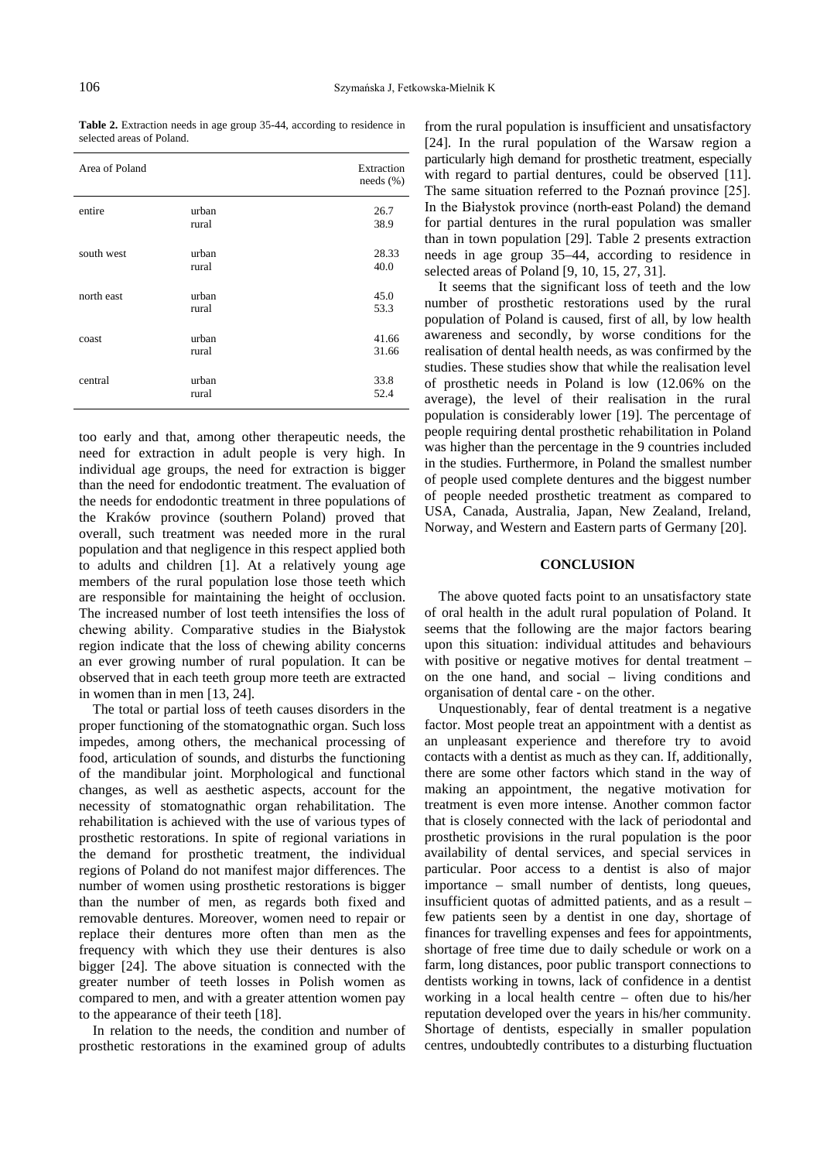**Table 2.** Extraction needs in age group 35-44, according to residence in selected areas of Poland.

| Area of Poland |                | Extraction<br>needs (%) |
|----------------|----------------|-------------------------|
| entire         | urban<br>rural | 26.7<br>38.9            |
| south west     | urban<br>rural | 28.33<br>40.0           |
| north east     | urban<br>rural | 45.0<br>53.3            |
| coast          | urban<br>rural | 41.66<br>31.66          |
| central        | urban<br>rural | 33.8<br>52.4            |

too early and that, among other therapeutic needs, the need for extraction in adult people is very high. In individual age groups, the need for extraction is bigger than the need for endodontic treatment. The evaluation of the needs for endodontic treatment in three populations of the Kraków province (southern Poland) proved that overall, such treatment was needed more in the rural population and that negligence in this respect applied both to adults and children [1]. At a relatively young age members of the rural population lose those teeth which are responsible for maintaining the height of occlusion. The increased number of lost teeth intensifies the loss of chewing ability. Comparative studies in the Białystok region indicate that the loss of chewing ability concerns an ever growing number of rural population. It can be observed that in each teeth group more teeth are extracted in women than in men [13, 24].

The total or partial loss of teeth causes disorders in the proper functioning of the stomatognathic organ. Such loss impedes, among others, the mechanical processing of food, articulation of sounds, and disturbs the functioning of the mandibular joint. Morphological and functional changes, as well as aesthetic aspects, account for the necessity of stomatognathic organ rehabilitation. The rehabilitation is achieved with the use of various types of prosthetic restorations. In spite of regional variations in the demand for prosthetic treatment, the individual regions of Poland do not manifest major differences. The number of women using prosthetic restorations is bigger than the number of men, as regards both fixed and removable dentures. Moreover, women need to repair or replace their dentures more often than men as the frequency with which they use their dentures is also bigger [24]. The above situation is connected with the greater number of teeth losses in Polish women as compared to men, and with a greater attention women pay to the appearance of their teeth [18].

In relation to the needs, the condition and number of prosthetic restorations in the examined group of adults

from the rural population is insufficient and unsatisfactory [24]. In the rural population of the Warsaw region a particularly high demand for prosthetic treatment, especially with regard to partial dentures, could be observed [11]. The same situation referred to the Poznań province [25]. In the Białystok province (north-east Poland) the demand for partial dentures in the rural population was smaller than in town population [29]. Table 2 presents extraction needs in age group 35–44, according to residence in selected areas of Poland [9, 10, 15, 27, 31].

It seems that the significant loss of teeth and the low number of prosthetic restorations used by the rural population of Poland is caused, first of all, by low health awareness and secondly, by worse conditions for the realisation of dental health needs, as was confirmed by the studies. These studies show that while the realisation level of prosthetic needs in Poland is low (12.06% on the average), the level of their realisation in the rural population is considerably lower [19]. The percentage of people requiring dental prosthetic rehabilitation in Poland was higher than the percentage in the 9 countries included in the studies. Furthermore, in Poland the smallest number of people used complete dentures and the biggest number of people needed prosthetic treatment as compared to USA, Canada, Australia, Japan, New Zealand, Ireland, Norway, and Western and Eastern parts of Germany [20].

#### **CONCLUSION**

The above quoted facts point to an unsatisfactory state of oral health in the adult rural population of Poland. It seems that the following are the major factors bearing upon this situation: individual attitudes and behaviours with positive or negative motives for dental treatment – on the one hand, and social – living conditions and organisation of dental care - on the other.

Unquestionably, fear of dental treatment is a negative factor. Most people treat an appointment with a dentist as an unpleasant experience and therefore try to avoid contacts with a dentist as much as they can. If, additionally, there are some other factors which stand in the way of making an appointment, the negative motivation for treatment is even more intense. Another common factor that is closely connected with the lack of periodontal and prosthetic provisions in the rural population is the poor availability of dental services, and special services in particular. Poor access to a dentist is also of major importance – small number of dentists, long queues, insufficient quotas of admitted patients, and as a result – few patients seen by a dentist in one day, shortage of finances for travelling expenses and fees for appointments, shortage of free time due to daily schedule or work on a farm, long distances, poor public transport connections to dentists working in towns, lack of confidence in a dentist working in a local health centre – often due to his/her reputation developed over the years in his/her community. Shortage of dentists, especially in smaller population centres, undoubtedly contributes to a disturbing fluctuation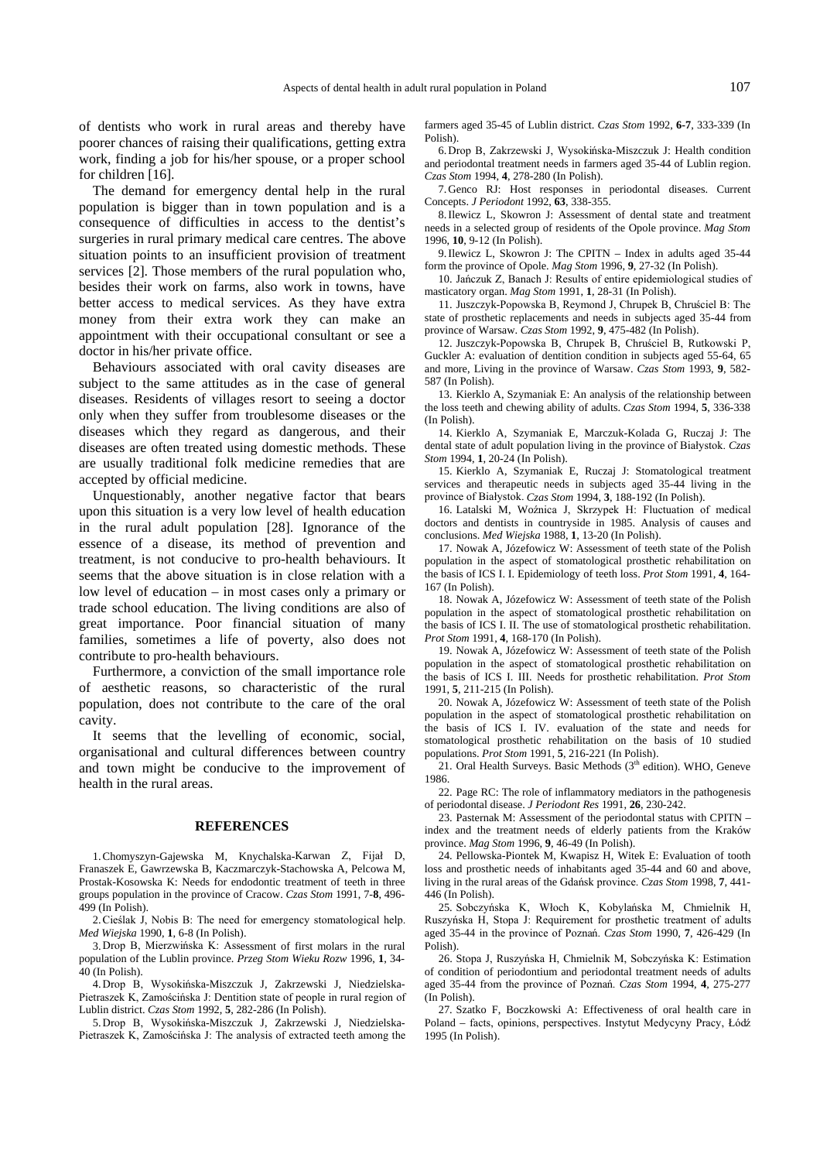of dentists who work in rural areas and thereby have poorer chances of raising their qualifications, getting extra work, finding a job for his/her spouse, or a proper school for children [16].

The demand for emergency dental help in the rural population is bigger than in town population and is a consequence of difficulties in access to the dentist's surgeries in rural primary medical care centres. The above situation points to an insufficient provision of treatment services [2]. Those members of the rural population who, besides their work on farms, also work in towns, have better access to medical services. As they have extra money from their extra work they can make an appointment with their occupational consultant or see a doctor in his/her private office.

Behaviours associated with oral cavity diseases are subject to the same attitudes as in the case of general diseases. Residents of villages resort to seeing a doctor only when they suffer from troublesome diseases or the diseases which they regard as dangerous, and their diseases are often treated using domestic methods. These are usually traditional folk medicine remedies that are accepted by official medicine.

Unquestionably, another negative factor that bears upon this situation is a very low level of health education in the rural adult population [28]. Ignorance of the essence of a disease, its method of prevention and treatment, is not conducive to pro-health behaviours. It seems that the above situation is in close relation with a low level of education – in most cases only a primary or trade school education. The living conditions are also of great importance. Poor financial situation of many families, sometimes a life of poverty, also does not contribute to pro-health behaviours.

Furthermore, a conviction of the small importance role of aesthetic reasons, so characteristic of the rural population, does not contribute to the care of the oral cavity.

It seems that the levelling of economic, social, organisational and cultural differences between country and town might be conducive to the improvement of health in the rural areas.

#### **REFERENCES**

1. Chomyszyn-Gajewska M, Knychalska-Karwan Z, Fijał D, Franaszek E, Gawrzewska B, Kaczmarczyk-Stachowska A, Pelcowa M, Prostak-Kosowska K: Needs for endodontic treatment of teeth in three groups population in the province of Cracow. *Czas Stom* 1991, 7-**8**, 496- 499 (In Polish).

2. Cieślak J, Nobis B: The need for emergency stomatological help. *Med Wiejska* 1990, **1**, 6-8 (In Polish).

3. Drop B, Mierzwińska K: Assessment of first molars in the rural population of the Lublin province. *Przeg Stom Wieku Rozw* 1996, **1**, 34-  $40$  (In Polish).

4. Drop B, Wysokińska-Miszczuk J, Zakrzewski J, Niedzielska-Pietraszek K, Zamościńska J: Dentition state of people in rural region of Lublin district. *Czas Stom* 1992, **5**, 282-286 (In Polish).

5. Drop B. Wysokińska-Miszczuk J. Zakrzewski J. Niedzielska-Pietraszek K, Zamościńska J: The analysis of extracted teeth among the farmers aged 35-45 of Lublin district. *Czas Stom* 1992, **6-7**, 333-339 (In Polish).

6. Drop B. Zakrzewski J. Wysokińska-Miszczuk J: Health condition and periodontal treatment needs in farmers aged 35-44 of Lublin region. *Czas Stom* 1994, **4**, 278-280 (In Polish).

7. Genco RJ: Host responses in periodontal diseases. Current Concepts. *J Periodont* 1992, **63**, 338-355.

8. Ilewicz L, Skowron J: Assessment of dental state and treatment needs in a selected group of residents of the Opole province. *Mag Stom* 1996, **10**, 9-12 (In Polish).

9. Ilewicz L, Skowron J: The CPITN – Index in adults aged 35-44 form the province of Opole. *Mag Stom* 1996, **9**, 27-32 (In Polish).

10. Jańczuk Z, Banach J: Results of entire epidemiological studies of masticatory organ. *Mag Stom* 1991, **1**, 28-31 (In Polish).

11. Juszczyk-Popowska B, Reymond J, Chrupek B, Chruściel B: The state of prosthetic replacements and needs in subjects aged 35-44 from province of Warsaw. *Czas Stom* 1992, **9**, 475-482 (In Polish).

12. Juszczyk-Popowska B, Chrupek B, Chruściel B, Rutkowski P, Guckler A: evaluation of dentition condition in subjects aged 55-64, 65 and more, Living in the province of Warsaw. *Czas Stom* 1993, **9**, 582- 587 (In Polish).

13. Kierklo A, Szymaniak E: An analysis of the relationship between the loss teeth and chewing ability of adults. *Czas Stom* 1994, **5**, 336-338 (In Polish).

14. Kierklo A, Szymaniak E, Marczuk-Kolada G, Ruczaj J: The dental state of adult population living in the province of Białystok. Czas *Stom* 1994, **1**, 20-24 (In Polish).

15. Kierklo A, Szymaniak E, Ruczaj J: Stomatological treatment services and therapeutic needs in subjects aged 35-44 living in the province of Białystok. Czas Stom 1994,  $\overline{3}$ , 188-192 (In Polish).

16. Latalski M, Woźnica J, Skrzypek H: Fluctuation of medical doctors and dentists in countryside in 1985. Analysis of causes and conclusions. *Med Wiejska* 1988, **1**, 13-20 (In Polish).

17. Nowak A, Józefowicz W: Assessment of teeth state of the Polish population in the aspect of stomatological prosthetic rehabilitation on the basis of ICS I. I. Epidemiology of teeth loss. *Prot Stom* 1991, **4**, 164- 167 (In Polish).

18. Nowak A, Józefowicz W: Assessment of teeth state of the Polish population in the aspect of stomatological prosthetic rehabilitation on the basis of ICS I. II. The use of stomatological prosthetic rehabilitation. *Prot Stom* 1991, **4**, 168-170 (In Polish).

19. Nowak A, Józefowicz W: Assessment of teeth state of the Polish population in the aspect of stomatological prosthetic rehabilitation on the basis of ICS I. III. Needs for prosthetic rehabilitation. *Prot Stom* 1991, **5**, 211-215 (In Polish).

20. Nowak A, Józefowicz W: Assessment of teeth state of the Polish population in the aspect of stomatological prosthetic rehabilitation on the basis of ICS I. IV. evaluation of the state and needs for stomatological prosthetic rehabilitation on the basis of 10 studied populations. *Prot Stom* 1991, **5**, 216-221 (In Polish).

21. Oral Health Surveys. Basic Methods  $(3<sup>th</sup>$  edition). WHO, Geneve 1986.

22. Page RC: The role of inflammatory mediators in the pathogenesis of periodontal disease. *J Periodont Res* 1991, **26**, 230-242.

23. Pasternak M: Assessment of the periodontal status with CPITN – index and the treatment needs of elderly patients from the Kraków province. *Mag Stom* 1996, **9**, 46-49 (In Polish).

24. Pellowska-Piontek M, Kwapisz H, Witek E: Evaluation of tooth loss and prosthetic needs of inhabitants aged 35-44 and 60 and above, living in the rural areas of the Gdańsk province. Czas Stom 1998, 7, 441-446 (In Polish).

25. Sobczyńska K, Włoch K, Kobylańska M, Chmielnik H, Ruszyńska H, Stopa J: Requirement for prosthetic treatment of adults aged 35-44 in the province of Poznań. Czas Stom 1990, 7, 426-429 (In Polish).

26. Stopa J, Ruszyńska H, Chmielnik M, Sobczyńska K: Estimation of condition of periodontium and periodontal treatment needs of adults aged 35-44 from the province of Poznań. Czas Stom 1994, 4, 275-277 (In Polish).

27. Szatko F, Boczkowski A: Effectiveness of oral health care in Poland – facts, opinions, perspectives. Instytut Medycyny Pracy, Łódź 1995 (In Polish).